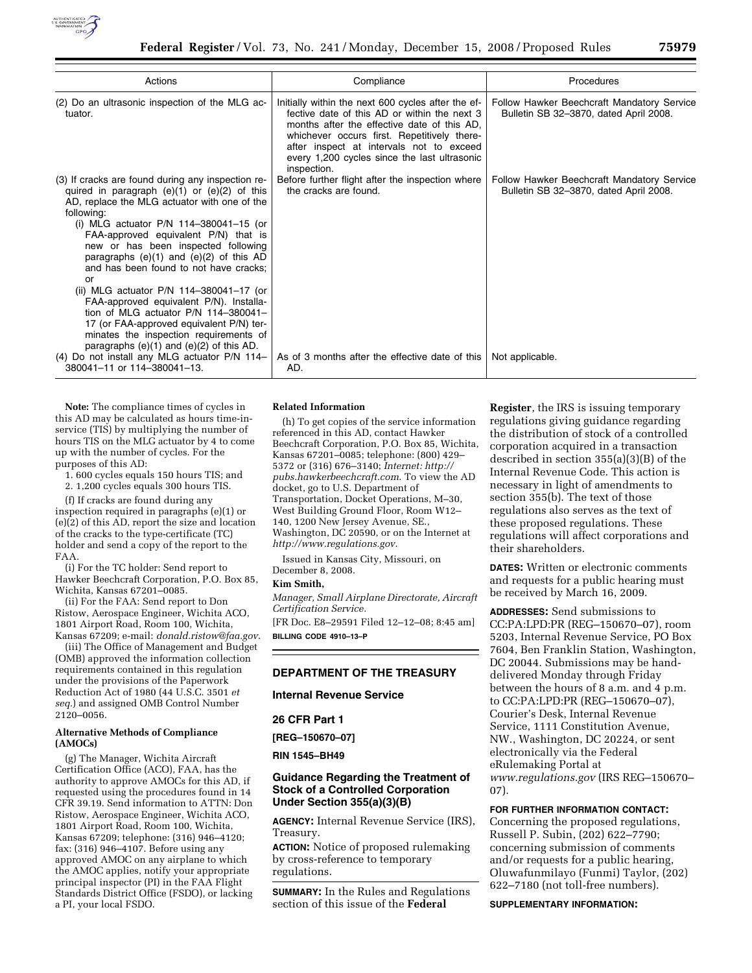

| Actions                                                                                                                                                                                                                                                                                                                                                                                                                                                                                                                                                                                                                                                             | Compliance                                                                                                                                                                                                                                                                                                  | Procedures                                                                           |
|---------------------------------------------------------------------------------------------------------------------------------------------------------------------------------------------------------------------------------------------------------------------------------------------------------------------------------------------------------------------------------------------------------------------------------------------------------------------------------------------------------------------------------------------------------------------------------------------------------------------------------------------------------------------|-------------------------------------------------------------------------------------------------------------------------------------------------------------------------------------------------------------------------------------------------------------------------------------------------------------|--------------------------------------------------------------------------------------|
| (2) Do an ultrasonic inspection of the MLG ac-<br>tuator.                                                                                                                                                                                                                                                                                                                                                                                                                                                                                                                                                                                                           | Initially within the next 600 cycles after the ef-<br>fective date of this AD or within the next 3<br>months after the effective date of this AD,<br>whichever occurs first. Repetitively there-<br>after inspect at intervals not to exceed<br>every 1,200 cycles since the last ultrasonic<br>inspection. | Follow Hawker Beechcraft Mandatory Service<br>Bulletin SB 32-3870, dated April 2008. |
| (3) If cracks are found during any inspection re-<br>quired in paragraph $(e)(1)$ or $(e)(2)$ of this<br>AD, replace the MLG actuator with one of the<br>following:<br>(i) MLG actuator $P/N$ 114-380041-15 (or<br>FAA-approved equivalent P/N) that is<br>new or has been inspected following<br>paragraphs $(e)(1)$ and $(e)(2)$ of this AD<br>and has been found to not have cracks;<br>or<br>(ii) MLG actuator P/N 114-380041-17 (or<br>FAA-approved equivalent P/N). Installa-<br>tion of MLG actuator $P/N$ 114-380041-<br>17 (or FAA-approved equivalent P/N) ter-<br>minates the inspection requirements of<br>paragraphs $(e)(1)$ and $(e)(2)$ of this AD. | Before further flight after the inspection where<br>the cracks are found.                                                                                                                                                                                                                                   | Follow Hawker Beechcraft Mandatory Service<br>Bulletin SB 32-3870, dated April 2008. |
| (4) Do not install any MLG actuator P/N 114-<br>380041-11 or 114-380041-13.                                                                                                                                                                                                                                                                                                                                                                                                                                                                                                                                                                                         | As of 3 months after the effective date of this<br>AD.                                                                                                                                                                                                                                                      | Not applicable.                                                                      |

**Note:** The compliance times of cycles in this AD may be calculated as hours time-inservice (TIS) by multiplying the number of hours TIS on the MLG actuator by 4 to come up with the number of cycles. For the purposes of this AD:

1. 600 cycles equals 150 hours TIS; and

2. 1,200 cycles equals 300 hours TIS.

(f) If cracks are found during any inspection required in paragraphs (e)(1) or (e)(2) of this AD, report the size and location of the cracks to the type-certificate (TC) holder and send a copy of the report to the FAA.

(i) For the TC holder: Send report to Hawker Beechcraft Corporation, P.O. Box 85, Wichita, Kansas 67201–0085.

(ii) For the FAA: Send report to Don Ristow, Aerospace Engineer, Wichita ACO, 1801 Airport Road, Room 100, Wichita, Kansas 67209; e-mail: *donald.ristow@faa.gov*.

(iii) The Office of Management and Budget (OMB) approved the information collection requirements contained in this regulation under the provisions of the Paperwork Reduction Act of 1980 (44 U.S.C. 3501 *et seq.*) and assigned OMB Control Number 2120–0056.

### **Alternative Methods of Compliance (AMOCs)**

(g) The Manager, Wichita Aircraft Certification Office (ACO), FAA, has the authority to approve AMOCs for this AD, if requested using the procedures found in 14 CFR 39.19. Send information to ATTN: Don Ristow, Aerospace Engineer, Wichita ACO, 1801 Airport Road, Room 100, Wichita, Kansas 67209; telephone: (316) 946–4120; fax: (316) 946–4107. Before using any approved AMOC on any airplane to which the AMOC applies, notify your appropriate principal inspector (PI) in the FAA Flight Standards District Office (FSDO), or lacking a PI, your local FSDO.

#### **Related Information**

(h) To get copies of the service information referenced in this AD, contact Hawker Beechcraft Corporation, P.O. Box 85, Wichita, Kansas 67201–0085; telephone: (800) 429– 5372 or (316) 676–3140; *Internet: http:// pubs.hawkerbeechcraft.com*. To view the AD docket, go to U.S. Department of Transportation, Docket Operations, M–30, West Building Ground Floor, Room W12– 140, 1200 New Jersey Avenue, SE., Washington, DC 20590, or on the Internet at *http://www.regulations.gov*.

Issued in Kansas City, Missouri, on December 8, 2008.

## **Kim Smith,**

*Manager, Small Airplane Directorate, Aircraft Certification Service.* 

[FR Doc. E8–29591 Filed 12–12–08; 8:45 am] **BILLING CODE 4910–13–P** 

## **DEPARTMENT OF THE TREASURY**

**Internal Revenue Service** 

### **26 CFR Part 1**

**[REG–150670–07]** 

**RIN 1545–BH49** 

## **Guidance Regarding the Treatment of Stock of a Controlled Corporation Under Section 355(a)(3)(B)**

**AGENCY:** Internal Revenue Service (IRS), Treasury.

**ACTION:** Notice of proposed rulemaking by cross-reference to temporary regulations.

**SUMMARY:** In the Rules and Regulations section of this issue of the **Federal** 

**Register**, the IRS is issuing temporary regulations giving guidance regarding the distribution of stock of a controlled corporation acquired in a transaction described in section 355(a)(3)(B) of the Internal Revenue Code. This action is necessary in light of amendments to section 355(b). The text of those regulations also serves as the text of these proposed regulations. These regulations will affect corporations and their shareholders.

**DATES:** Written or electronic comments and requests for a public hearing must be received by March 16, 2009.

**ADDRESSES:** Send submissions to CC:PA:LPD:PR (REG–150670–07), room 5203, Internal Revenue Service, PO Box 7604, Ben Franklin Station, Washington, DC 20044. Submissions may be handdelivered Monday through Friday between the hours of 8 a.m. and 4 p.m. to CC:PA:LPD:PR (REG–150670–07), Courier's Desk, Internal Revenue Service, 1111 Constitution Avenue, NW., Washington, DC 20224, or sent electronically via the Federal eRulemaking Portal at *www.regulations.gov* (IRS REG–150670– 07).

#### **FOR FURTHER INFORMATION CONTACT:**

Concerning the proposed regulations, Russell P. Subin, (202) 622–7790; concerning submission of comments and/or requests for a public hearing, Oluwafunmilayo (Funmi) Taylor, (202) 622–7180 (not toll-free numbers).

### **SUPPLEMENTARY INFORMATION:**